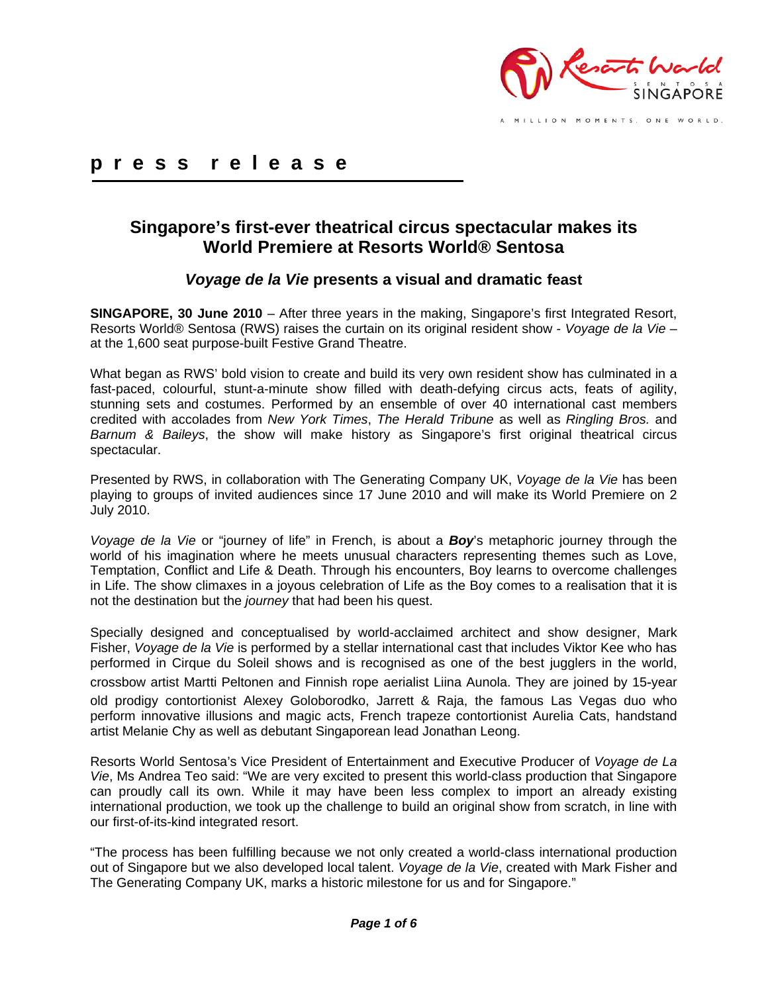

MILLION MOMENTS. ONE WORLD.

# **p r e s s r e l e a s e**

# **Singapore's first-ever theatrical circus spectacular makes its World Premiere at Resorts World® Sentosa**

# *Voyage de la Vie* **presents a visual and dramatic feast**

**SINGAPORE, 30 June 2010** – After three years in the making, Singapore's first Integrated Resort, Resorts World® Sentosa (RWS) raises the curtain on its original resident show - *Voyage de la Vie* – at the 1,600 seat purpose-built Festive Grand Theatre.

What began as RWS' bold vision to create and build its very own resident show has culminated in a fast-paced, colourful, stunt-a-minute show filled with death-defying circus acts, feats of agility, stunning sets and costumes. Performed by an ensemble of over 40 international cast members credited with accolades from *New York Times*, *The Herald Tribune* as well as *Ringling Bros.* and *Barnum & Baileys*, the show will make history as Singapore's first original theatrical circus spectacular.

Presented by RWS, in collaboration with The Generating Company UK, *Voyage de la Vie* has been playing to groups of invited audiences since 17 June 2010 and will make its World Premiere on 2 July 2010.

*Voyage de la Vie* or "journey of life" in French, is about a *Boy*'s metaphoric journey through the world of his imagination where he meets unusual characters representing themes such as Love, Temptation, Conflict and Life & Death. Through his encounters, Boy learns to overcome challenges in Life. The show climaxes in a joyous celebration of Life as the Boy comes to a realisation that it is not the destination but the *journey* that had been his quest.

Specially designed and conceptualised by world-acclaimed architect and show designer, Mark Fisher, *Voyage de la Vie* is performed by a stellar international cast that includes Viktor Kee who has performed in Cirque du Soleil shows and is recognised as one of the best jugglers in the world, crossbow artist Martti Peltonen and Finnish rope aerialist Liina Aunola. They are joined by 15‐year old prodigy contortionist Alexey Goloborodko, Jarrett & Raja, the famous Las Vegas duo who perform innovative illusions and magic acts, French trapeze contortionist Aurelia Cats, handstand artist Melanie Chy as well as debutant Singaporean lead Jonathan Leong.

Resorts World Sentosa's Vice President of Entertainment and Executive Producer of *Voyage de La Vie*, Ms Andrea Teo said: "We are very excited to present this world-class production that Singapore can proudly call its own. While it may have been less complex to import an already existing international production, we took up the challenge to build an original show from scratch, in line with our first-of-its-kind integrated resort.

"The process has been fulfilling because we not only created a world-class international production out of Singapore but we also developed local talent. *Voyage de la Vie*, created with Mark Fisher and The Generating Company UK, marks a historic milestone for us and for Singapore."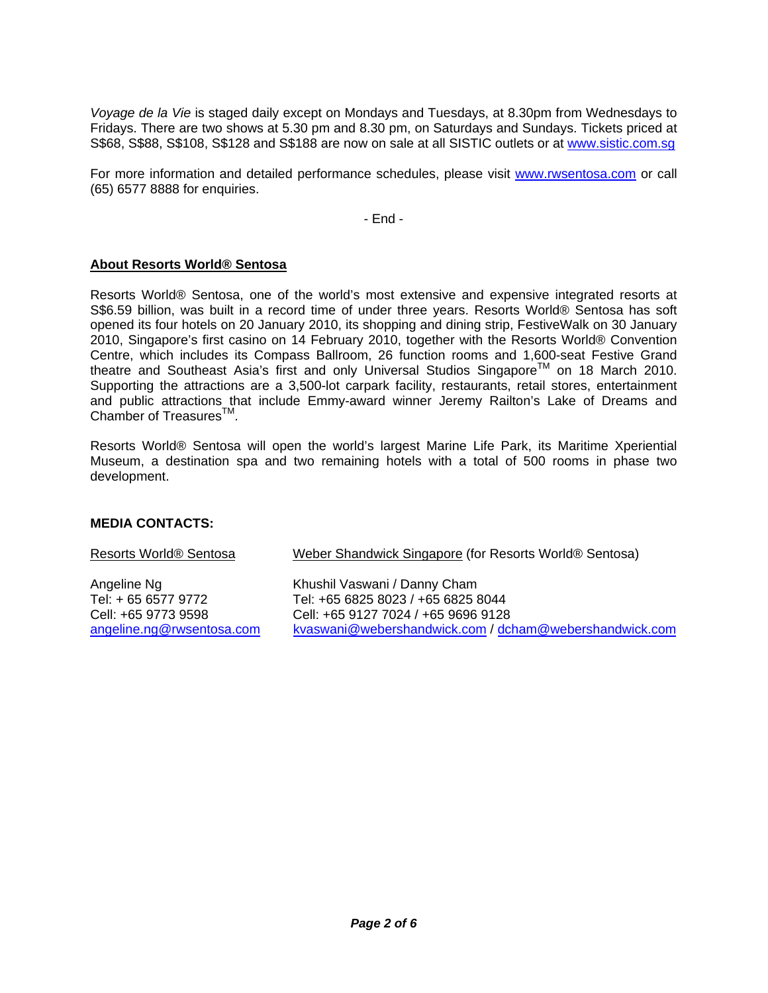*Voyage de la Vie* is staged daily except on Mondays and Tuesdays, at 8.30pm from Wednesdays to Fridays. There are two shows at 5.30 pm and 8.30 pm, on Saturdays and Sundays. Tickets priced at S\$68, S\$88, S\$108, S\$128 and S\$188 are now on sale at all SISTIC outlets or at www.sistic.com.sg

For more information and detailed performance schedules, please visit www.rwsentosa.com or call (65) 6577 8888 for enquiries.

- End -

#### **About Resorts World® Sentosa**

Resorts World® Sentosa, one of the world's most extensive and expensive integrated resorts at S\$6.59 billion, was built in a record time of under three years. Resorts World® Sentosa has soft opened its four hotels on 20 January 2010, its shopping and dining strip, FestiveWalk on 30 January 2010, Singapore's first casino on 14 February 2010, together with the Resorts World® Convention Centre, which includes its Compass Ballroom, 26 function rooms and 1,600-seat Festive Grand theatre and Southeast Asia's first and only Universal Studios Singapore<sup>TM</sup> on 18 March 2010. Supporting the attractions are a 3,500-lot carpark facility, restaurants, retail stores, entertainment and public attractions that include Emmy-award winner Jeremy Railton's Lake of Dreams and Chamber of Treasures<sup>™</sup>.

Resorts World® Sentosa will open the world's largest Marine Life Park, its Maritime Xperiential Museum, a destination spa and two remaining hotels with a total of 500 rooms in phase two development.

### **MEDIA CONTACTS:**

| Resorts World® Sentosa    | Weber Shandwick Singapore (for Resorts World® Sentosa) |
|---------------------------|--------------------------------------------------------|
| Angeline Ng               | Khushil Vaswani / Danny Cham                           |
| Tel: + 65 6577 9772       | Tel: +65 6825 8023 / +65 6825 8044                     |
| Cell: +65 9773 9598       | Cell: +65 9127 7024 / +65 9696 9128                    |
| angeline.ng@rwsentosa.com | kvaswani@webershandwick.com / dcham@webershandwick.com |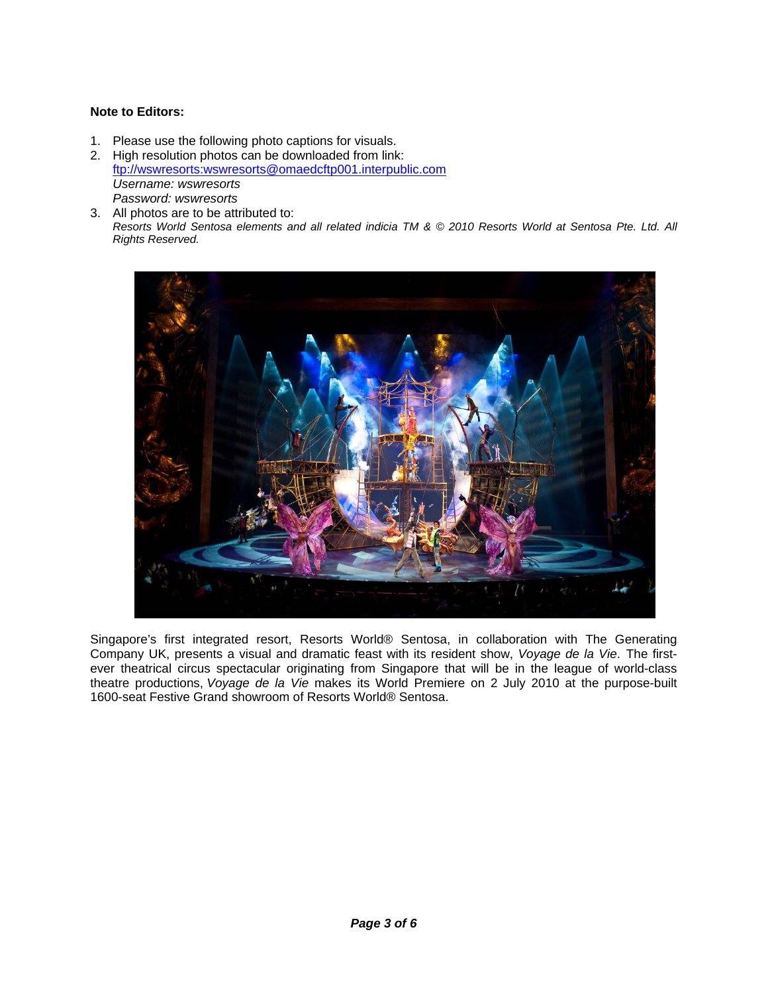### **Note to Editors:**

- 1. Please use the following photo captions for visuals.
- 2. High resolution photos can be downloaded from link: ftp://wswresorts:wswresorts@omaedcftp001.interpublic.com *Username: wswresorts Password: wswresorts*
- 3. All photos are to be attributed to: *Resorts World Sentosa elements and all related indicia TM & © 2010 Resorts World at Sentosa Pte. Ltd. All Rights Reserved.*



Singapore's first integrated resort, Resorts World® Sentosa, in collaboration with The Generating Company UK, presents a visual and dramatic feast with its resident show, *Voyage de la Vie*. The firstever theatrical circus spectacular originating from Singapore that will be in the league of world-class theatre productions, *Voyage de la Vie* makes its World Premiere on 2 July 2010 at the purpose-built 1600-seat Festive Grand showroom of Resorts World® Sentosa.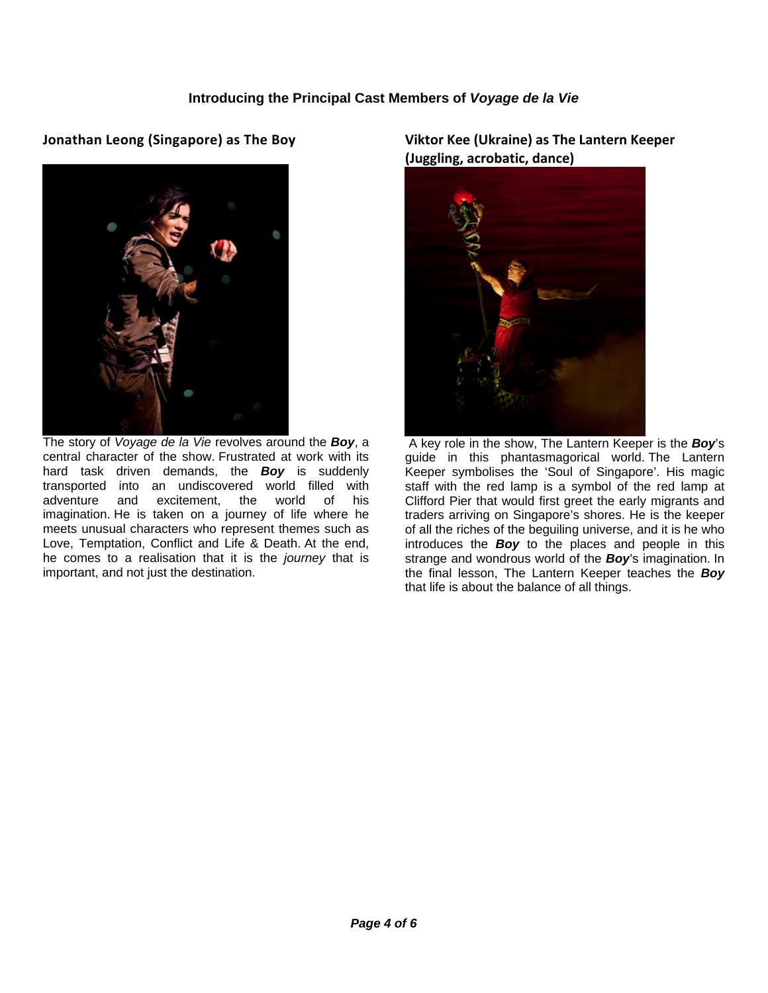# **Jonathan Leong (Singapore) as The Boy**



The story of *Voyage de la Vie* revolves around the *Boy*, a central character of the show. Frustrated at work with its hard task driven demands, the *Boy* is suddenly transported into an undiscovered world filled with adventure and excitement, the world of his imagination. He is taken on a journey of life where he meets unusual characters who represent themes such as Love, Temptation, Conflict and Life & Death. At the end, he comes to a realisation that it is the *journey* that is important, and not just the destination.

**Viktor Kee (Ukraine) as The Lantern Keeper (Juggling, acrobatic, dance)**



A key role in the show, The Lantern Keeper is the *Boy*'s guide in this phantasmagorical world. The Lantern Keeper symbolises the 'Soul of Singapore'. His magic staff with the red lamp is a symbol of the red lamp at Clifford Pier that would first greet the early migrants and traders arriving on Singapore's shores. He is the keeper of all the riches of the beguiling universe, and it is he who introduces the *Boy* to the places and people in this strange and wondrous world of the *Boy*'s imagination. In the final lesson, The Lantern Keeper teaches the *Boy* that life is about the balance of all things.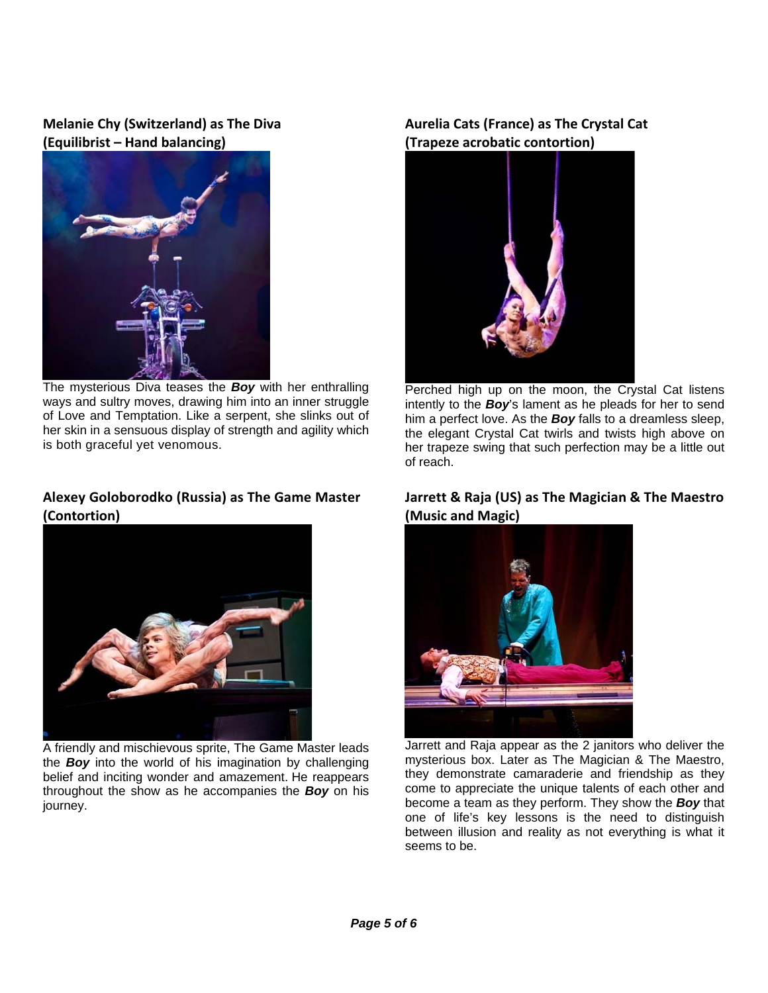# **Melanie Chy (Switzerland) as The Diva (Equilibrist – Hand balancing)**



The mysterious Diva teases the *Boy* with her enthralling ways and sultry moves, drawing him into an inner struggle of Love and Temptation. Like a serpent, she slinks out of her skin in a sensuous display of strength and agility which is both graceful yet venomous.

### **Alexey Goloborodko (Russia) as The Game Master (Contortion)**



A friendly and mischievous sprite, The Game Master leads the *Boy* into the world of his imagination by challenging belief and inciting wonder and amazement. He reappears throughout the show as he accompanies the *Boy* on his journey.

# **Aurelia Cats (France) as The Crystal Cat (Trapeze acrobatic contortion)**



Perched high up on the moon, the Crystal Cat listens intently to the *Boy*'s lament as he pleads for her to send him a perfect love. As the *Boy* falls to a dreamless sleep, the elegant Crystal Cat twirls and twists high above on her trapeze swing that such perfection may be a little out of reach.

### **Jarrett & Raja (US) as The Magician & The Maestro (Music and Magic)**



Jarrett and Raja appear as the 2 janitors who deliver the mysterious box. Later as The Magician & The Maestro, they demonstrate camaraderie and friendship as they come to appreciate the unique talents of each other and become a team as they perform. They show the *Boy* that one of life's key lessons is the need to distinguish between illusion and reality as not everything is what it seems to be.